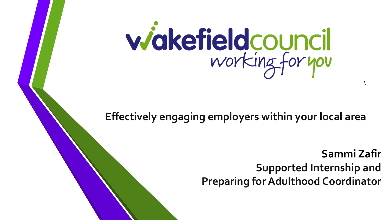

**Effectively engaging employers within your local area**

**Support Internship**

**Sammi Zafir Supported Internship and Preparing for Adulthood Coordinator**

**'.**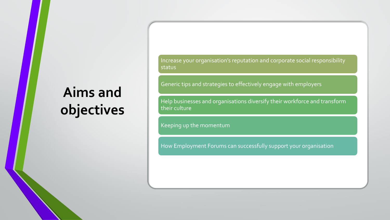### **Aims and objectives**

Increase your organisation's reputation and corporate social responsibility status

Generic tips and strategies to effectively engage with employers

Help businesses and organisations diversify their workforce and transform their culture

Keeping up the momentum

How Employment Forums can successfully support your organisation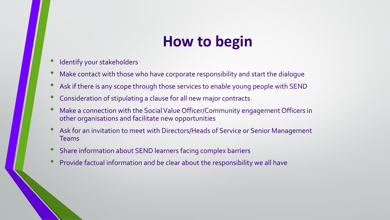#### **How to begin**

- Identify your stakeholders
- Make contact with those who have corporate responsibility and start the dialogue
- Ask if there is any scope through those services to enable young people with SEND
- Consideration of stipulating a clause for all new major contracts
- Make a connection with the Social Value Officer/Community engagement Officers in other organisations and facilitate new opportunities
- Ask for an invitation to meet with Directors/Heads of Service or Senior Management Teams
- Share information about SEND learners facing complex barriers
- Provide factual information and be clear about the responsibility we all have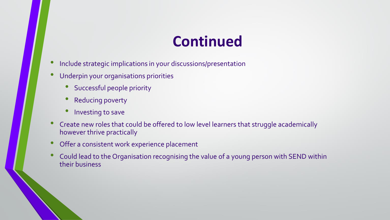#### **Continued**

- Include strategic implications in your discussions/presentation
- Underpin your organisations priorities
	- Successful people priority
	- Reducing poverty
	- Investing to save
- Create new roles that could be offered to low level learners that struggle academically however thrive practically
- Offer a consistent work experience placement
- Could lead to the Organisation recognising the value of a young person with SEND within their business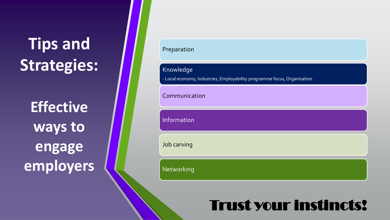## **Tips and Strategies:**

**Effective ways to engage employers** 

| Preparation   |                                                                          |  |
|---------------|--------------------------------------------------------------------------|--|
| Knowledge     | - Local economy, Industries, Employability programme focus, Organisation |  |
| Communication |                                                                          |  |
| Information   |                                                                          |  |
| Job carving   |                                                                          |  |
| Networking    |                                                                          |  |

#### Trust your instincts!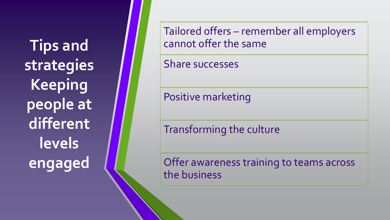**Tips and strategies Keeping people at different levels engaged** 

Tailored offers – remember all employers cannot offer the same

Share successes

Positive marketing

Transforming the culture

Offer awareness training to teams across the business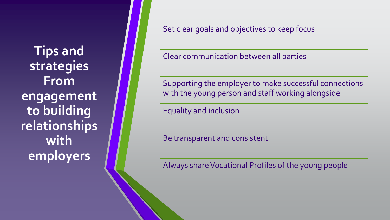**Tips and strategies From engagement to building relationships with employers** 

Set clear goals and objectives to keep focus

Clear communication between all parties

Supporting the employer to make successful connections with the young person and staff working alongside

Equality and inclusion

Be transparent and consistent

Always share Vocational Profiles of the young people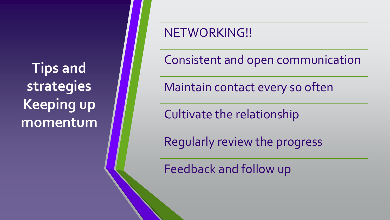**Tips and strategies Keeping up momentum**

#### NETWORKING!!

Consistent and open communication

Maintain contact every so often

Cultivate the relationship

Regularly review the progress

Feedback and follow up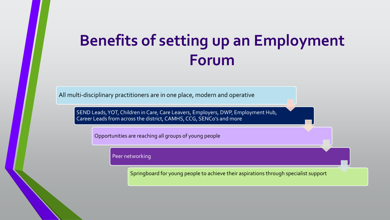### **Benefits of setting up an Employment Forum**

All multi-disciplinary practitioners are in one place, modern and operative

SEND Leads, YOT, Children in Care, Care Leavers, Employers, DWP, Employment Hub, Career Leads from across the district, CAMHS, CCG, SENCo's and more

Opportunities are reaching all groups of young people

Peer networking

Springboard for young people to achieve their aspirations through specialist support